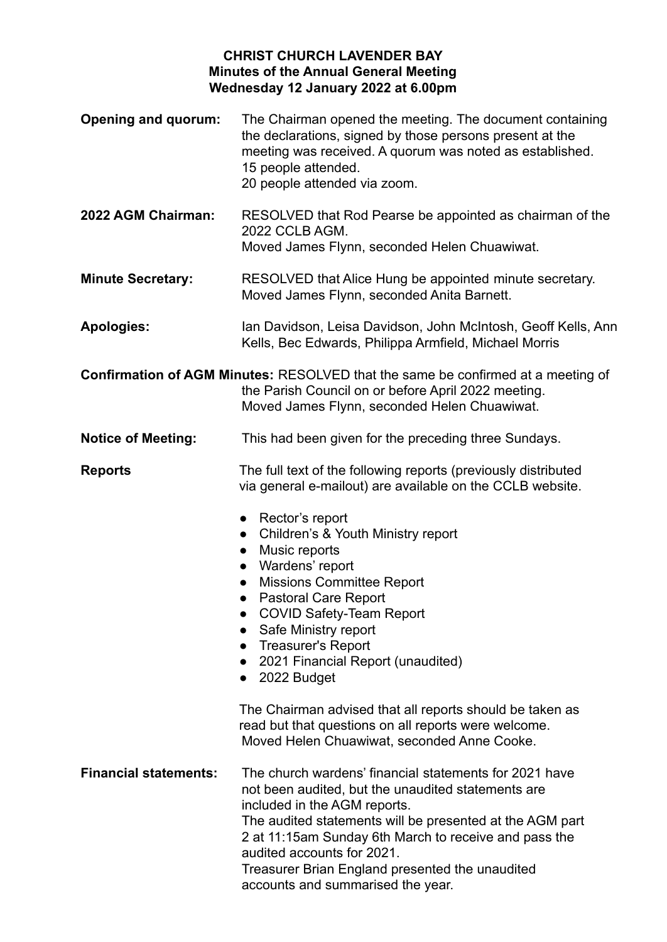## **CHRIST CHURCH LAVENDER BAY Minutes of the Annual General Meeting Wednesday 12 January 2022 at 6.00pm**

- **Opening and quorum:** The Chairman opened the meeting. The document containing the declarations, signed by those persons present at the meeting was received. A quorum was noted as established. 15 people attended. 20 people attended via zoom.
- **2022 AGM Chairman:** RESOLVED that Rod Pearse be appointed as chairman of the 2022 CCLB AGM. Moved James Flynn, seconded Helen Chuawiwat.
- **Minute Secretary:** RESOLVED that Alice Hung be appointed minute secretary. Moved James Flynn, seconded Anita Barnett.
- **Apologies:** Ian Davidson, Leisa Davidson, John McIntosh, Geoff Kells, Ann Kells, Bec Edwards, Philippa Armfield, Michael Morris

**Confirmation of AGM Minutes:** RESOLVED that the same be confirmed at a meeting of the Parish Council on or before April 2022 meeting. Moved James Flynn, seconded Helen Chuawiwat.

## **Notice of Meeting:** This had been given for the preceding three Sundays.

**Reports** The full text of the following reports (previously distributed via general e-mailout) are available on the CCLB website.

- Rector's report
- Children's & Youth Ministry report
- Music reports
- Wardens' report
- Missions Committee Report
- Pastoral Care Report
- COVID Safety-Team Report
- Safe Ministry report
- Treasurer's Report
- 2021 Financial Report (unaudited)
- 2022 Budget

The Chairman advised that all reports should be taken as read but that questions on all reports were welcome. Moved Helen Chuawiwat, seconded Anne Cooke.

**Financial statements:** The church wardens' financial statements for 2021 have not been audited, but the unaudited statements are included in the AGM reports.

The audited statements will be presented at the AGM part 2 at 11:15am Sunday 6th March to receive and pass the audited accounts for 2021.

Treasurer Brian England presented the unaudited accounts and summarised the year.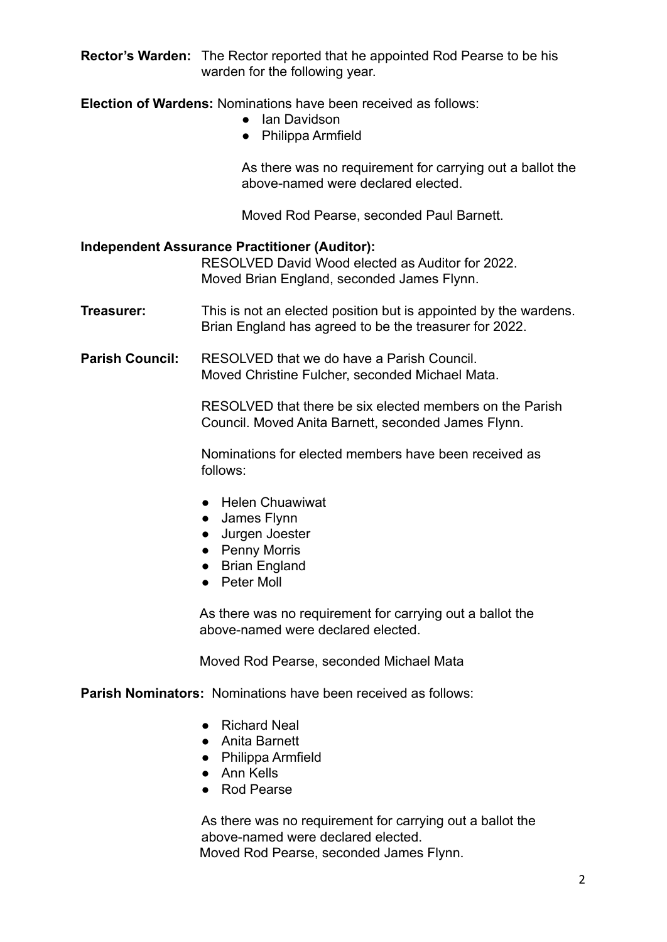**Rector's Warden:** The Rector reported that he appointed Rod Pearse to be his warden for the following year.

**Election of Wardens:** Nominations have been received as follows:

- Ian Davidson
- Philippa Armfield

As there was no requirement for carrying out a ballot the above-named were declared elected.

Moved Rod Pearse, seconded Paul Barnett.

## **Independent Assurance Practitioner (Auditor):**

RESOLVED David Wood elected as Auditor for 2022. Moved Brian England, seconded James Flynn.

**Treasurer:** This is not an elected position but is appointed by the wardens. Brian England has agreed to be the treasurer for 2022.

**Parish Council:** RESOLVED that we do have a Parish Council Moved Christine Fulcher, seconded Michael Mata.

> RESOLVED that there be six elected members on the Parish Council. Moved Anita Barnett, seconded James Flynn.

Nominations for elected members have been received as follows:

- Helen Chuawiwat
- James Flynn
- Jurgen Joester
- Penny Morris
- Brian England
- Peter Moll

As there was no requirement for carrying out a ballot the above-named were declared elected.

Moved Rod Pearse, seconded Michael Mata

**Parish Nominators:** Nominations have been received as follows:

- Richard Neal
- Anita Barnett
- Philippa Armfield
- Ann Kells
- Rod Pearse

As there was no requirement for carrying out a ballot the above-named were declared elected. Moved Rod Pearse, seconded James Flynn.